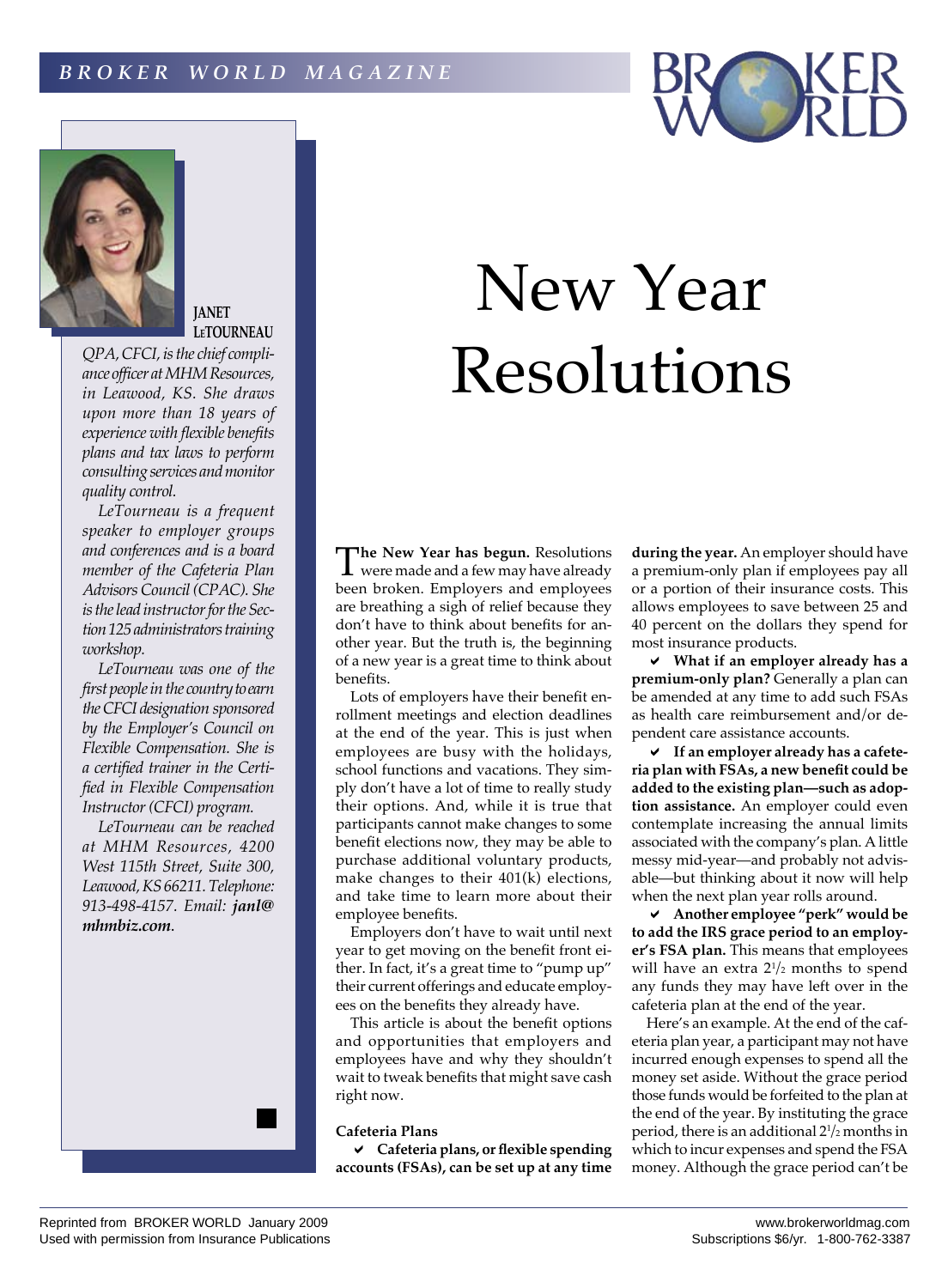



**JANET LeTOURNEAU**

*QPA, CFCI, is the chief compliance officer at MHM Resources, in Leawood, KS. She draws upon more than 18 years of experience with flexible benefits plans and tax laws to perform consulting services and monitor quality control.*

*LeTourneau is a frequent speaker to employer groups and conferences and is a board member of the Cafeteria Plan Advisors Council (CPAC). She is the lead instructor for the Section 125 administrators training workshop.*

*LeTourneau was one of the first people in the country to earn the CFCI designation sponsored by the Employer's Council on Flexible Compensation. She is a certified trainer in the Certified in Flexible Compensation Instructor (CFCI) program.*

*LeTourneau can be reached at MHM Resources, 4200 West 115th Street, Suite 300, Leawood, KS 66211. Telephone: 913-498-4157. Email: janl@ mhmbiz.com*.

# New Year Resolutions

The New Year has begun. Resolutions<br>were made and a few may have already<br>were made and a few may have already been broken. Employers and employees are breathing a sigh of relief because they don't have to think about benefits for another year. But the truth is, the beginning of a new year is a great time to think about benefits.

Lots of employers have their benefit enrollment meetings and election deadlines at the end of the year. This is just when employees are busy with the holidays, school functions and vacations. They simply don't have a lot of time to really study their options. And, while it is true that participants cannot make changes to some benefit elections now, they may be able to purchase additional voluntary products, make changes to their 401(k) elections, and take time to learn more about their employee benefits.

Employers don't have to wait until next year to get moving on the benefit front either. In fact, it's a great time to "pump up" their current offerings and educate employees on the benefits they already have.

This article is about the benefit options and opportunities that employers and employees have and why they shouldn't wait to tweak benefits that might save cash right now.

# **Cafeteria Plans**

a **Cafeteria plans, or flexible spending accounts (FSAs), can be set up at any time**  **during the year.** An employer should have a premium-only plan if employees pay all or a portion of their insurance costs. This allows employees to save between 25 and 40 percent on the dollars they spend for most insurance products.

a **What if an employer already has a premium-only plan?** Generally a plan can be amended at any time to add such FSAs as health care reimbursement and/or dependent care assistance accounts.

a **If an employer already has a cafeteria plan with FSAs, a new benefit could be added to the existing plan—such as adoption assistance.** An employer could even contemplate increasing the annual limits associated with the company's plan. A little messy mid-year—and probably not advisable—but thinking about it now will help when the next plan year rolls around.

a **Another employee "perk" would be to add the IRS grace period to an employer's FSA plan.** This means that employees will have an extra 21 /2 months to spend any funds they may have left over in the cafeteria plan at the end of the year.

Here's an example. At the end of the cafeteria plan year, a participant may not have incurred enough expenses to spend all the money set aside. Without the grace period those funds would be forfeited to the plan at the end of the year. By instituting the grace period, there is an additional 21 /2 months in which to incur expenses and spend the FSA money. Although the grace period can't be